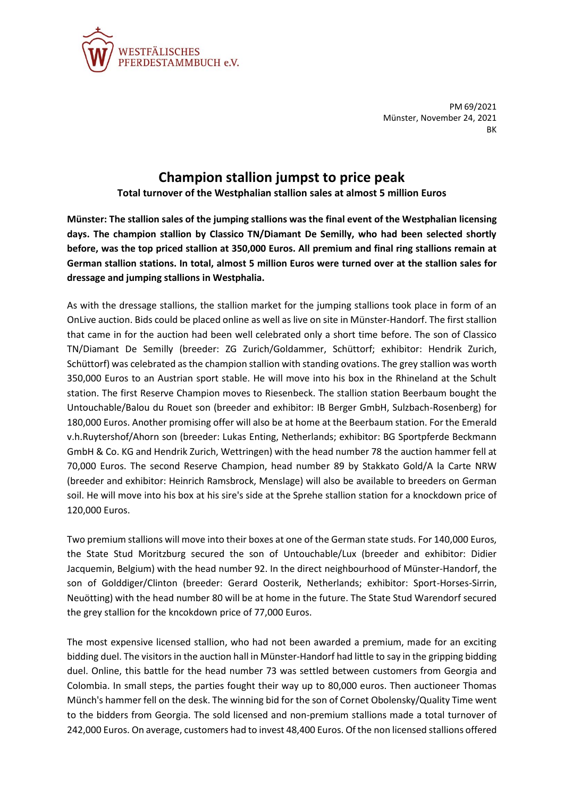

PM 69/2021 Münster, November 24, 2021 BK

## **Champion stallion jumpst to price peak**

**Total turnover of the Westphalian stallion sales at almost 5 million Euros**

**Münster: The stallion sales of the jumping stallions was the final event of the Westphalian licensing days. The champion stallion by Classico TN/Diamant De Semilly, who had been selected shortly before, was the top priced stallion at 350,000 Euros. All premium and final ring stallions remain at German stallion stations. In total, almost 5 million Euros were turned over at the stallion sales for dressage and jumping stallions in Westphalia.** 

As with the dressage stallions, the stallion market for the jumping stallions took place in form of an OnLive auction. Bids could be placed online as well as live on site in Münster-Handorf. The first stallion that came in for the auction had been well celebrated only a short time before. The son of Classico TN/Diamant De Semilly (breeder: ZG Zurich/Goldammer, Schüttorf; exhibitor: Hendrik Zurich, Schüttorf) was celebrated as the champion stallion with standing ovations. The grey stallion was worth 350,000 Euros to an Austrian sport stable. He will move into his box in the Rhineland at the Schult station. The first Reserve Champion moves to Riesenbeck. The stallion station Beerbaum bought the Untouchable/Balou du Rouet son (breeder and exhibitor: IB Berger GmbH, Sulzbach-Rosenberg) for 180,000 Euros. Another promising offer will also be at home at the Beerbaum station. For the Emerald v.h.Ruytershof/Ahorn son (breeder: Lukas Enting, Netherlands; exhibitor: BG Sportpferde Beckmann GmbH & Co. KG and Hendrik Zurich, Wettringen) with the head number 78 the auction hammer fell at 70,000 Euros. The second Reserve Champion, head number 89 by Stakkato Gold/A la Carte NRW (breeder and exhibitor: Heinrich Ramsbrock, Menslage) will also be available to breeders on German soil. He will move into his box at his sire's side at the Sprehe stallion station for a knockdown price of 120,000 Euros.

Two premium stallions will move into their boxes at one of the German state studs. For 140,000 Euros, the State Stud Moritzburg secured the son of Untouchable/Lux (breeder and exhibitor: Didier Jacquemin, Belgium) with the head number 92. In the direct neighbourhood of Münster-Handorf, the son of Golddiger/Clinton (breeder: Gerard Oosterik, Netherlands; exhibitor: Sport-Horses-Sirrin, Neuötting) with the head number 80 will be at home in the future. The State Stud Warendorf secured the grey stallion for the kncokdown price of 77,000 Euros.

The most expensive licensed stallion, who had not been awarded a premium, made for an exciting bidding duel. The visitors in the auction hall in Münster-Handorf had little to say in the gripping bidding duel. Online, this battle for the head number 73 was settled between customers from Georgia and Colombia. In small steps, the parties fought their way up to 80,000 euros. Then auctioneer Thomas Münch's hammer fell on the desk. The winning bid for the son of Cornet Obolensky/Quality Time went to the bidders from Georgia. The sold licensed and non-premium stallions made a total turnover of 242,000 Euros. On average, customers had to invest 48,400 Euros. Of the non licensed stallions offered